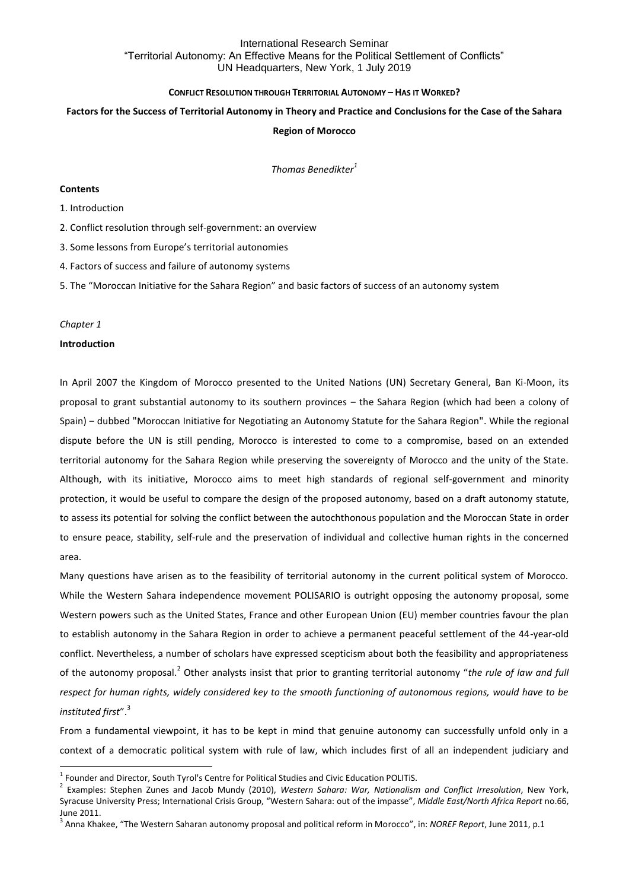### **CONFLICT RESOLUTION THROUGH TERRITORIAL AUTONOMY – HAS IT WORKED?**

### **Factors for the Success of Territorial Autonomy in Theory and Practice and Conclusions for the Case of the Sahara**

### **Region of Morocco**

*Thomas Benedikter<sup>1</sup>*

#### **Contents**

## 1. Introduction

2. Conflict resolution through self-government: an overview

3. Some lessons from Europe's territorial autonomies

4. Factors of success and failure of autonomy systems

5. The "Moroccan Initiative for the Sahara Region" and basic factors of success of an autonomy system

#### *Chapter 1*

**.** 

### **Introduction**

In April 2007 the Kingdom of Morocco presented to the United Nations (UN) Secretary General, Ban Ki-Moon, its proposal to grant substantial autonomy to its southern provinces – the Sahara Region (which had been a colony of Spain) – dubbed "Moroccan Initiative for Negotiating an Autonomy Statute for the Sahara Region". While the regional dispute before the UN is still pending, Morocco is interested to come to a compromise, based on an extended territorial autonomy for the Sahara Region while preserving the sovereignty of Morocco and the unity of the State. Although, with its initiative, Morocco aims to meet high standards of regional self-government and minority protection, it would be useful to compare the design of the proposed autonomy, based on a draft autonomy statute, to assess its potential for solving the conflict between the autochthonous population and the Moroccan State in order to ensure peace, stability, self-rule and the preservation of individual and collective human rights in the concerned area.

Many questions have arisen as to the feasibility of territorial autonomy in the current political system of Morocco. While the Western Sahara independence movement POLISARIO is outright opposing the autonomy proposal, some Western powers such as the United States, France and other European Union (EU) member countries favour the plan to establish autonomy in the Sahara Region in order to achieve a permanent peaceful settlement of the 44-year-old conflict. Nevertheless, a number of scholars have expressed scepticism about both the feasibility and appropriateness of the autonomy proposal.<sup>2</sup> Other analysts insist that prior to granting territorial autonomy "*the rule of law and full respect for human rights, widely considered key to the smooth functioning of autonomous regions, would have to be instituted first*". 3

From a fundamental viewpoint, it has to be kept in mind that genuine autonomy can successfully unfold only in a context of a democratic political system with rule of law, which includes first of all an independent judiciary and

 $<sup>1</sup>$  Founder and Director, South Tyrol's Centre for Political Studies and Civic Education POLITiS.</sup>

<sup>2</sup> Examples: Stephen Zunes and Jacob Mundy (2010), *Western Sahara: War, Nationalism and Conflict Irresolution*, New York, Syracuse University Press; International Crisis Group, "Western Sahara: out of the impasse", *Middle East/North Africa Report* no.66, June 2011.

<sup>3</sup> Anna Khakee, "The Western Saharan autonomy proposal and political reform in Morocco", in: *NOREF Report*, June 2011, p.1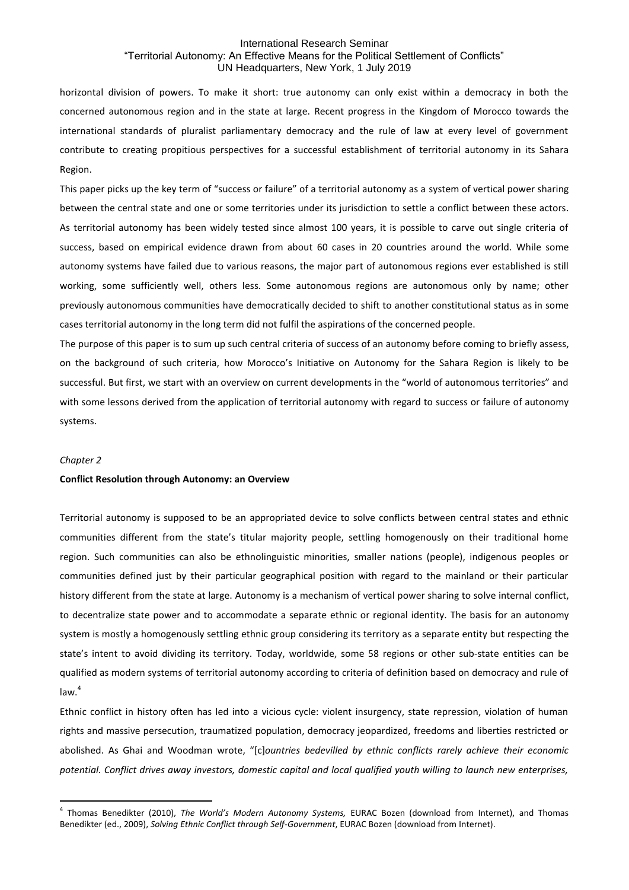horizontal division of powers. To make it short: true autonomy can only exist within a democracy in both the concerned autonomous region and in the state at large. Recent progress in the Kingdom of Morocco towards the international standards of pluralist parliamentary democracy and the rule of law at every level of government contribute to creating propitious perspectives for a successful establishment of territorial autonomy in its Sahara Region.

This paper picks up the key term of "success or failure" of a territorial autonomy as a system of vertical power sharing between the central state and one or some territories under its jurisdiction to settle a conflict between these actors. As territorial autonomy has been widely tested since almost 100 years, it is possible to carve out single criteria of success, based on empirical evidence drawn from about 60 cases in 20 countries around the world. While some autonomy systems have failed due to various reasons, the major part of autonomous regions ever established is still working, some sufficiently well, others less. Some autonomous regions are autonomous only by name; other previously autonomous communities have democratically decided to shift to another constitutional status as in some cases territorial autonomy in the long term did not fulfil the aspirations of the concerned people.

The purpose of this paper is to sum up such central criteria of success of an autonomy before coming to briefly assess, on the background of such criteria, how Morocco's Initiative on Autonomy for the Sahara Region is likely to be successful. But first, we start with an overview on current developments in the "world of autonomous territories" and with some lessons derived from the application of territorial autonomy with regard to success or failure of autonomy systems.

#### *Chapter 2*

 $\overline{a}$ 

#### **Conflict Resolution through Autonomy: an Overview**

Territorial autonomy is supposed to be an appropriated device to solve conflicts between central states and ethnic communities different from the state's titular majority people, settling homogenously on their traditional home region. Such communities can also be ethnolinguistic minorities, smaller nations (people), indigenous peoples or communities defined just by their particular geographical position with regard to the mainland or their particular history different from the state at large. Autonomy is a mechanism of vertical power sharing to solve internal conflict, to decentralize state power and to accommodate a separate ethnic or regional identity. The basis for an autonomy system is mostly a homogenously settling ethnic group considering its territory as a separate entity but respecting the state's intent to avoid dividing its territory. Today, worldwide, some 58 regions or other sub-state entities can be qualified as modern systems of territorial autonomy according to criteria of definition based on democracy and rule of  $l$ aw $<sup>4</sup>$ </sup>

Ethnic conflict in history often has led into a vicious cycle: violent insurgency, state repression, violation of human rights and massive persecution, traumatized population, democracy jeopardized, freedoms and liberties restricted or abolished. As Ghai and Woodman wrote, "[c]*ountries bedevilled by ethnic conflicts rarely achieve their economic potential. Conflict drives away investors, domestic capital and local qualified youth willing to launch new enterprises,* 

<sup>4</sup> Thomas Benedikter (2010), *The World's Modern Autonomy Systems,* EURAC Bozen (download from Internet), and Thomas Benedikter (ed., 2009), *Solving Ethnic Conflict through Self-Government*, EURAC Bozen (download from Internet).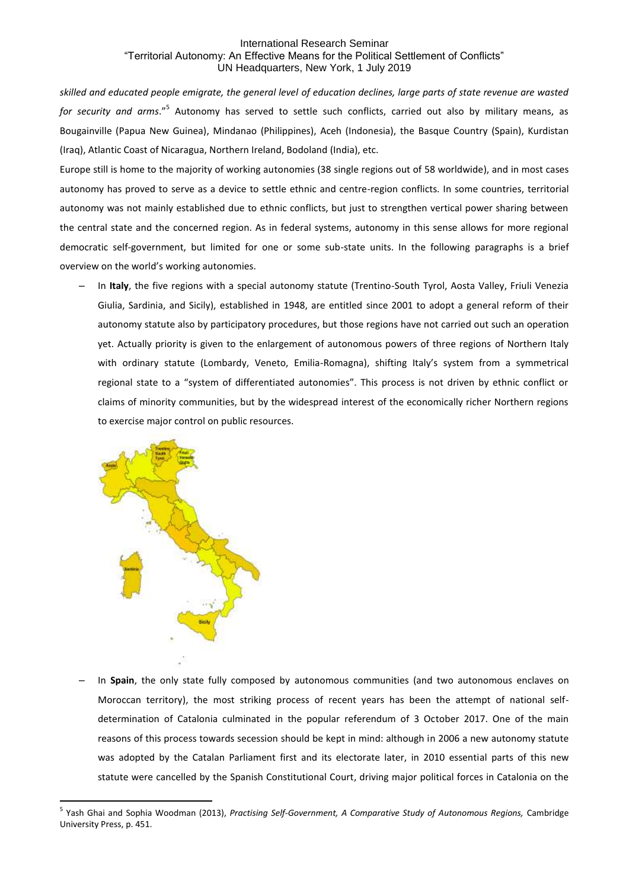*skilled and educated people emigrate, the general level of education declines, large parts of state revenue are wasted*  for security and arms."<sup>5</sup> Autonomy has served to settle such conflicts, carried out also by military means, as Bougainville (Papua New Guinea), Mindanao (Philippines), Aceh (Indonesia), the Basque Country (Spain), Kurdistan (Iraq), Atlantic Coast of Nicaragua, Northern Ireland, Bodoland (India), etc.

Europe still is home to the majority of working autonomies (38 single regions out of 58 worldwide), and in most cases autonomy has proved to serve as a device to settle ethnic and centre-region conflicts. In some countries, territorial autonomy was not mainly established due to ethnic conflicts, but just to strengthen vertical power sharing between the central state and the concerned region. As in federal systems, autonomy in this sense allows for more regional democratic self-government, but limited for one or some sub-state units. In the following paragraphs is a brief overview on the world's working autonomies.

‒ In **Italy**, the five regions with a special autonomy statute (Trentino-South Tyrol, Aosta Valley, Friuli Venezia Giulia, Sardinia, and Sicily), established in 1948, are entitled since 2001 to adopt a general reform of their autonomy statute also by participatory procedures, but those regions have not carried out such an operation yet. Actually priority is given to the enlargement of autonomous powers of three regions of Northern Italy with ordinary statute (Lombardy, Veneto, Emilia-Romagna), shifting Italy's system from a symmetrical regional state to a "system of differentiated autonomies". This process is not driven by ethnic conflict or claims of minority communities, but by the widespread interest of the economically richer Northern regions to exercise major control on public resources.



 $\overline{a}$ 

‒ In **Spain**, the only state fully composed by autonomous communities (and two autonomous enclaves on Moroccan territory), the most striking process of recent years has been the attempt of national selfdetermination of Catalonia culminated in the popular referendum of 3 October 2017. One of the main reasons of this process towards secession should be kept in mind: although in 2006 a new autonomy statute was adopted by the Catalan Parliament first and its electorate later, in 2010 essential parts of this new statute were cancelled by the Spanish Constitutional Court, driving major political forces in Catalonia on the

<sup>5</sup> Yash Ghai and Sophia Woodman (2013), *Practising Self-Government, A Comparative Study of Autonomous Regions,* Cambridge University Press, p. 451.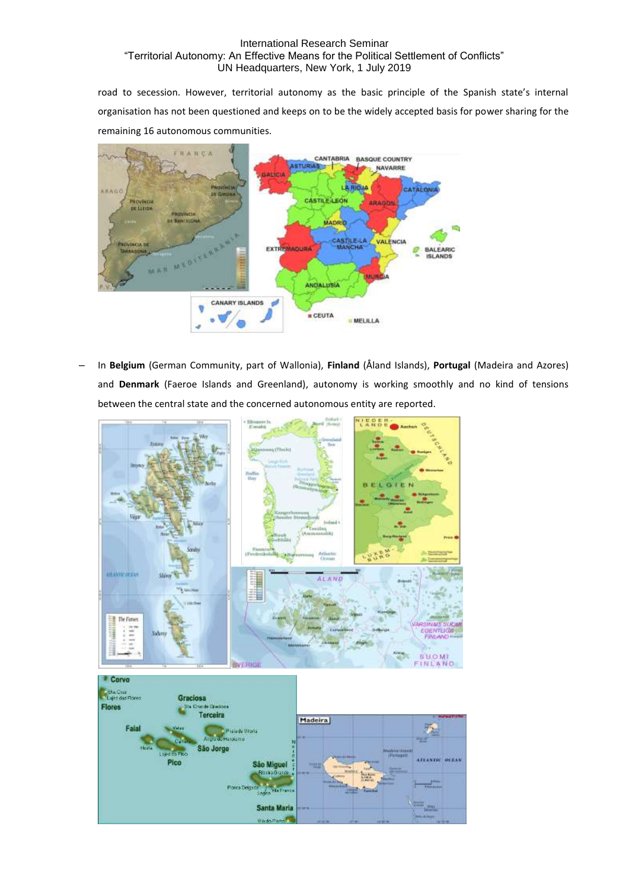road to secession. However, territorial autonomy as the basic principle of the Spanish state's internal organisation has not been questioned and keeps on to be the widely accepted basis for power sharing for the remaining 16 autonomous communities.



‒ In **Belgium** (German Community, part of Wallonia), **Finland** (Åland Islands), **Portugal** (Madeira and Azores) and **Denmark** (Faeroe Islands and Greenland), autonomy is working smoothly and no kind of tensions between the central state and the concerned autonomous entity are reported.

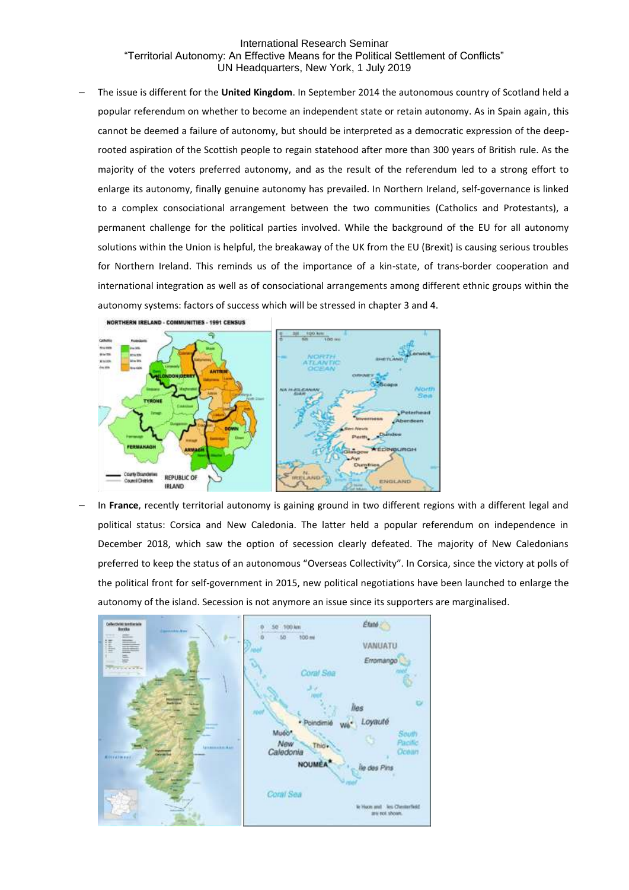‒ The issue is different for the **United Kingdom**. In September 2014 the autonomous country of Scotland held a popular referendum on whether to become an independent state or retain autonomy. As in Spain again, this cannot be deemed a failure of autonomy, but should be interpreted as a democratic expression of the deeprooted aspiration of the Scottish people to regain statehood after more than 300 years of British rule. As the majority of the voters preferred autonomy, and as the result of the referendum led to a strong effort to enlarge its autonomy, finally genuine autonomy has prevailed. In Northern Ireland, self-governance is linked to a complex consociational arrangement between the two communities (Catholics and Protestants), a permanent challenge for the political parties involved. While the background of the EU for all autonomy solutions within the Union is helpful, the breakaway of the UK from the EU (Brexit) is causing serious troubles for Northern Ireland. This reminds us of the importance of a kin-state, of trans-border cooperation and international integration as well as of consociational arrangements among different ethnic groups within the autonomy systems: factors of success which will be stressed in chapter 3 and 4.



‒ In **France**, recently territorial autonomy is gaining ground in two different regions with a different legal and political status: Corsica and New Caledonia. The latter held a popular referendum on independence in December 2018, which saw the option of secession clearly defeated. The majority of New Caledonians preferred to keep the status of an autonomous "Overseas Collectivity". In Corsica, since the victory at polls of the political front for self-government in 2015, new political negotiations have been launched to enlarge the autonomy of the island. Secession is not anymore an issue since its supporters are marginalised.

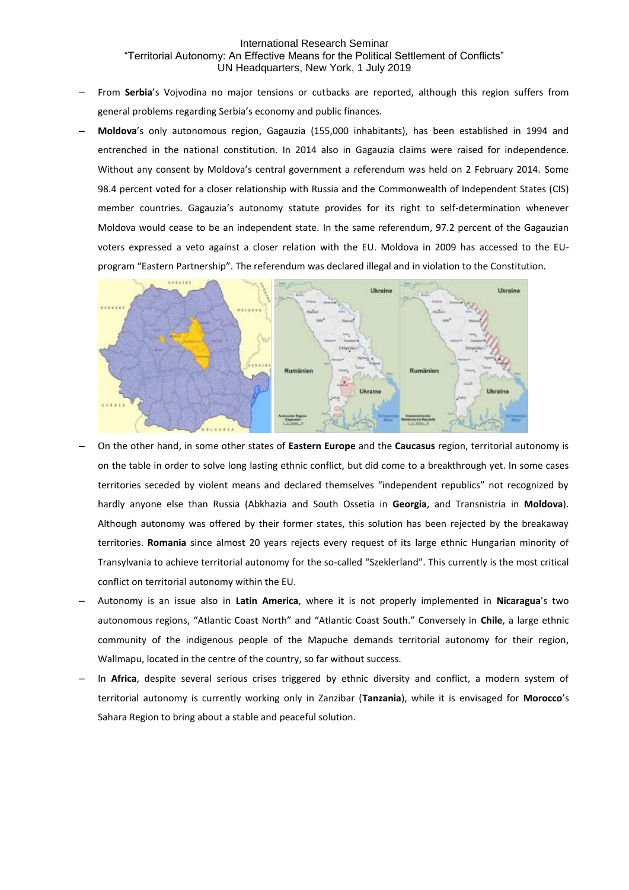- ‒ From **Serbia**'s Vojvodina no major tensions or cutbacks are reported, although this region suffers from general problems regarding Serbia's economy and public finances.
- ‒ **Moldova**'s only autonomous region, Gagauzia (155,000 inhabitants), has been established in 1994 and entrenched in the national constitution. In 2014 also in Gagauzia claims were raised for independence. Without any consent by Moldova's central government a referendum was held on 2 February 2014. Some 98.4 percent voted for a closer relationship with Russia and the Commonwealth of Independent States (CIS) member countries. Gagauzia's autonomy statute provides for its right to self-determination whenever Moldova would cease to be an independent state. In the same referendum, 97.2 percent of the Gagauzian voters expressed a veto against a closer relation with the EU. Moldova in 2009 has accessed to the EUprogram "Eastern Partnership". The referendum was declared illegal and in violation to the Constitution.



- ‒ On the other hand, in some other states of **Eastern Europe** and the **Caucasus** region, territorial autonomy is on the table in order to solve long lasting ethnic conflict, but did come to a breakthrough yet. In some cases territories seceded by violent means and declared themselves "independent republics" not recognized by hardly anyone else than Russia (Abkhazia and South Ossetia in **Georgia**, and Transnistria in **Moldova**). Although autonomy was offered by their former states, this solution has been rejected by the breakaway territories. **Romania** since almost 20 years rejects every request of its large ethnic Hungarian minority of Transylvania to achieve territorial autonomy for the so-called "Szeklerland". This currently is the most critical conflict on territorial autonomy within the EU.
- ‒ Autonomy is an issue also in **Latin America**, where it is not properly implemented in **Nicaragua**'s two autonomous regions, "Atlantic Coast North" and "Atlantic Coast South." Conversely in **Chile**, a large ethnic community of the indigenous people of the Mapuche demands territorial autonomy for their region, Wallmapu, located in the centre of the country, so far without success.
- ‒ In **Africa**, despite several serious crises triggered by ethnic diversity and conflict, a modern system of territorial autonomy is currently working only in Zanzibar (**Tanzania**), while it is envisaged for **Morocco**'s Sahara Region to bring about a stable and peaceful solution.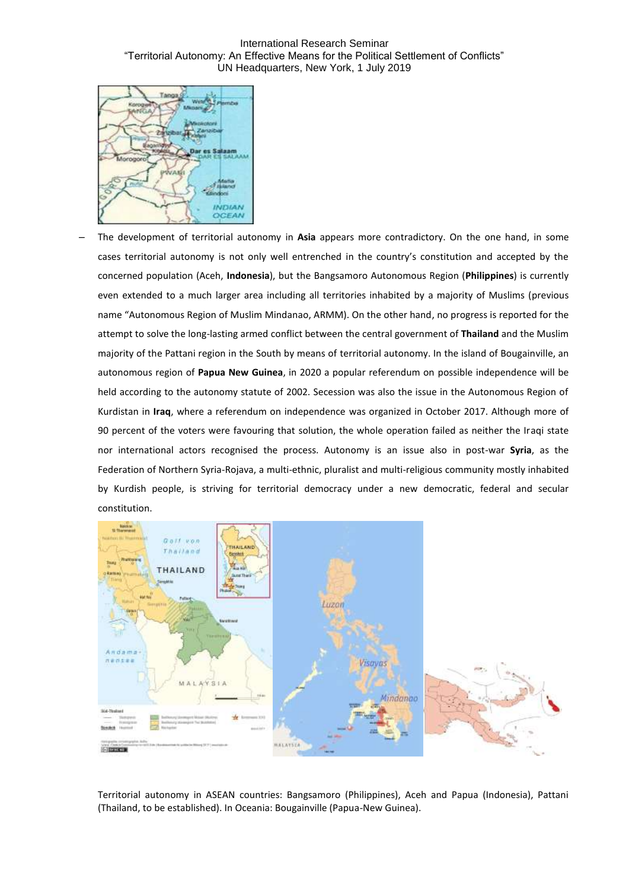International Research Seminar "Territorial Autonomy: An Effective Means for the Political Settlement of Conflicts" UN Headquarters, New York, 1 July 2019



‒ The development of territorial autonomy in **Asia** appears more contradictory. On the one hand, in some cases territorial autonomy is not only well entrenched in the country's constitution and accepted by the concerned population (Aceh, **Indonesia**), but the Bangsamoro Autonomous Region (**Philippines**) is currently even extended to a much larger area including all territories inhabited by a majority of Muslims (previous name "Autonomous Region of Muslim Mindanao, ARMM). On the other hand, no progress is reported for the attempt to solve the long-lasting armed conflict between the central government of **Thailand** and the Muslim majority of the Pattani region in the South by means of territorial autonomy. In the island of Bougainville, an autonomous region of **Papua New Guinea**, in 2020 a popular referendum on possible independence will be held according to the autonomy statute of 2002. Secession was also the issue in the Autonomous Region of Kurdistan in **Iraq**, where a referendum on independence was organized in October 2017. Although more of 90 percent of the voters were favouring that solution, the whole operation failed as neither the Iraqi state nor international actors recognised the process. Autonomy is an issue also in post-war **Syria**, as the Federation of Northern Syria-Rojava, a multi-ethnic, pluralist and multi-religious community mostly inhabited by Kurdish people, is striving for territorial democracy under a new democratic, federal and secular constitution.



Territorial autonomy in ASEAN countries: Bangsamoro (Philippines), Aceh and Papua (Indonesia), Pattani (Thailand, to be established). In Oceania: Bougainville (Papua-New Guinea).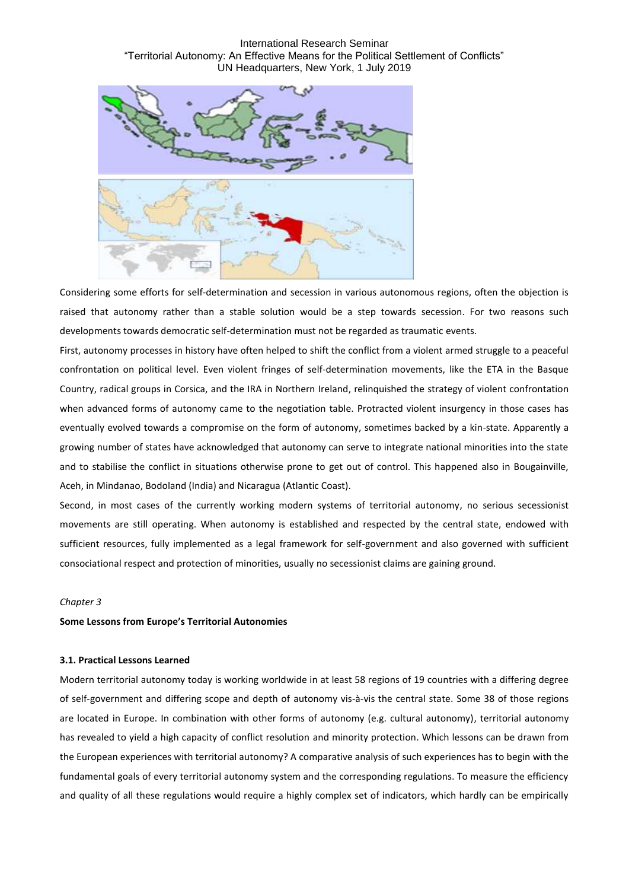International Research Seminar "Territorial Autonomy: An Effective Means for the Political Settlement of Conflicts" UN Headquarters, New York, 1 July 2019



Considering some efforts for self-determination and secession in various autonomous regions, often the objection is raised that autonomy rather than a stable solution would be a step towards secession. For two reasons such developments towards democratic self-determination must not be regarded as traumatic events.

First, autonomy processes in history have often helped to shift the conflict from a violent armed struggle to a peaceful confrontation on political level. Even violent fringes of self-determination movements, like the ETA in the Basque Country, radical groups in Corsica, and the IRA in Northern Ireland, relinquished the strategy of violent confrontation when advanced forms of autonomy came to the negotiation table. Protracted violent insurgency in those cases has eventually evolved towards a compromise on the form of autonomy, sometimes backed by a kin-state. Apparently a growing number of states have acknowledged that autonomy can serve to integrate national minorities into the state and to stabilise the conflict in situations otherwise prone to get out of control. This happened also in Bougainville, Aceh, in Mindanao, Bodoland (India) and Nicaragua (Atlantic Coast).

Second, in most cases of the currently working modern systems of territorial autonomy, no serious secessionist movements are still operating. When autonomy is established and respected by the central state, endowed with sufficient resources, fully implemented as a legal framework for self-government and also governed with sufficient consociational respect and protection of minorities, usually no secessionist claims are gaining ground.

### *Chapter 3*

### **Some Lessons from Europe's Territorial Autonomies**

#### **3.1. Practical Lessons Learned**

Modern territorial autonomy today is working worldwide in at least 58 regions of 19 countries with a differing degree of self-government and differing scope and depth of autonomy vis-à-vis the central state. Some 38 of those regions are located in Europe. In combination with other forms of autonomy (e.g. cultural autonomy), territorial autonomy has revealed to yield a high capacity of conflict resolution and minority protection. Which lessons can be drawn from the European experiences with territorial autonomy? A comparative analysis of such experiences has to begin with the fundamental goals of every territorial autonomy system and the corresponding regulations. To measure the efficiency and quality of all these regulations would require a highly complex set of indicators, which hardly can be empirically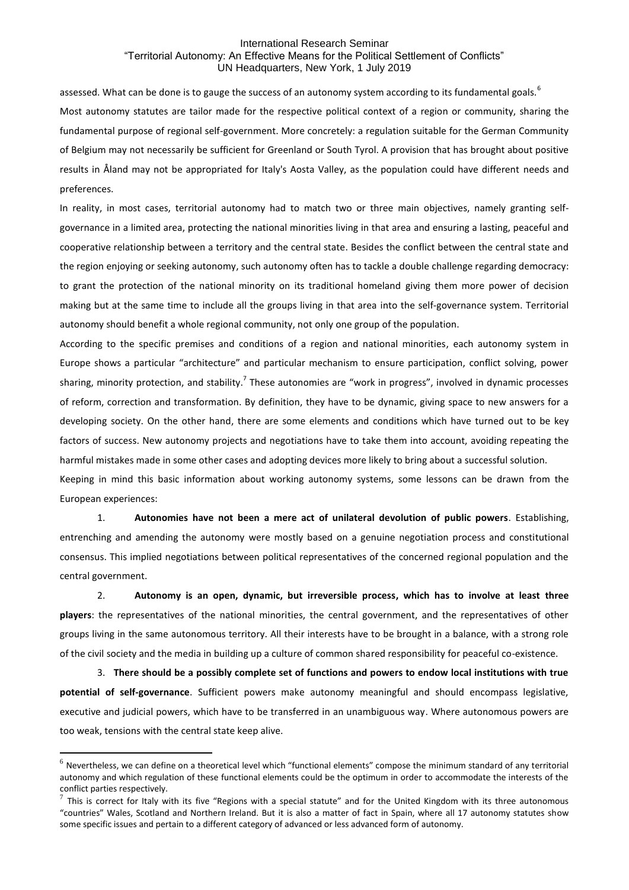assessed. What can be done is to gauge the success of an autonomy system according to its fundamental goals.<sup>6</sup> Most autonomy statutes are tailor made for the respective political context of a region or community, sharing the fundamental purpose of regional self-government. More concretely: a regulation suitable for the German Community of Belgium may not necessarily be sufficient for Greenland or South Tyrol. A provision that has brought about positive results in Åland may not be appropriated for Italy's Aosta Valley, as the population could have different needs and preferences.

In reality, in most cases, territorial autonomy had to match two or three main objectives, namely granting selfgovernance in a limited area, protecting the national minorities living in that area and ensuring a lasting, peaceful and cooperative relationship between a territory and the central state. Besides the conflict between the central state and the region enjoying or seeking autonomy, such autonomy often has to tackle a double challenge regarding democracy: to grant the protection of the national minority on its traditional homeland giving them more power of decision making but at the same time to include all the groups living in that area into the self-governance system. Territorial autonomy should benefit a whole regional community, not only one group of the population.

According to the specific premises and conditions of a region and national minorities, each autonomy system in Europe shows a particular "architecture" and particular mechanism to ensure participation, conflict solving, power sharing, minority protection, and stability.<sup>7</sup> These autonomies are "work in progress", involved in dynamic processes of reform, correction and transformation. By definition, they have to be dynamic, giving space to new answers for a developing society. On the other hand, there are some elements and conditions which have turned out to be key factors of success. New autonomy projects and negotiations have to take them into account, avoiding repeating the harmful mistakes made in some other cases and adopting devices more likely to bring about a successful solution.

Keeping in mind this basic information about working autonomy systems, some lessons can be drawn from the European experiences:

1. **Autonomies have not been a mere act of unilateral devolution of public powers**. Establishing, entrenching and amending the autonomy were mostly based on a genuine negotiation process and constitutional consensus. This implied negotiations between political representatives of the concerned regional population and the central government.

2. **Autonomy is an open, dynamic, but irreversible process, which has to involve at least three players**: the representatives of the national minorities, the central government, and the representatives of other groups living in the same autonomous territory. All their interests have to be brought in a balance, with a strong role of the civil society and the media in building up a culture of common shared responsibility for peaceful co-existence.

3. **There should be a possibly complete set of functions and powers to endow local institutions with true potential of self-governance**. Sufficient powers make autonomy meaningful and should encompass legislative, executive and judicial powers, which have to be transferred in an unambiguous way. Where autonomous powers are too weak, tensions with the central state keep alive.

 $<sup>6</sup>$  Nevertheless, we can define on a theoretical level which "functional elements" compose the minimum standard of any territorial</sup> autonomy and which regulation of these functional elements could be the optimum in order to accommodate the interests of the conflict parties respectively.

 $^7$  This is correct for Italy with its five "Regions with a special statute" and for the United Kingdom with its three autonomous "countries" Wales, Scotland and Northern Ireland. But it is also a matter of fact in Spain, where all 17 autonomy statutes show some specific issues and pertain to a different category of advanced or less advanced form of autonomy.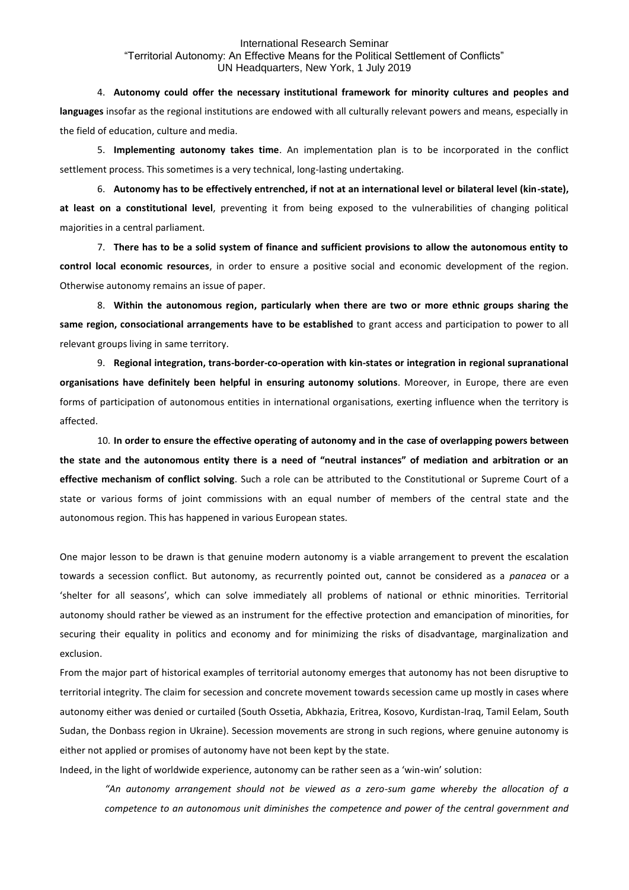4. **Autonomy could offer the necessary institutional framework for minority cultures and peoples and languages** insofar as the regional institutions are endowed with all culturally relevant powers and means, especially in the field of education, culture and media.

5. **Implementing autonomy takes time**. An implementation plan is to be incorporated in the conflict settlement process. This sometimes is a very technical, long-lasting undertaking.

6. **Autonomy has to be effectively entrenched, if not at an international level or bilateral level (kin-state), at least on a constitutional level**, preventing it from being exposed to the vulnerabilities of changing political majorities in a central parliament.

7. **There has to be a solid system of finance and sufficient provisions to allow the autonomous entity to control local economic resources**, in order to ensure a positive social and economic development of the region. Otherwise autonomy remains an issue of paper.

8. **Within the autonomous region, particularly when there are two or more ethnic groups sharing the same region, consociational arrangements have to be established** to grant access and participation to power to all relevant groups living in same territory.

9. **Regional integration, trans-border-co-operation with kin-states or integration in regional supranational organisations have definitely been helpful in ensuring autonomy solutions**. Moreover, in Europe, there are even forms of participation of autonomous entities in international organisations, exerting influence when the territory is affected.

10. **In order to ensure the effective operating of autonomy and in the case of overlapping powers between the state and the autonomous entity there is a need of "neutral instances" of mediation and arbitration or an effective mechanism of conflict solving**. Such a role can be attributed to the Constitutional or Supreme Court of a state or various forms of joint commissions with an equal number of members of the central state and the autonomous region. This has happened in various European states.

One major lesson to be drawn is that genuine modern autonomy is a viable arrangement to prevent the escalation towards a secession conflict. But autonomy, as recurrently pointed out, cannot be considered as a *panacea* or a 'shelter for all seasons', which can solve immediately all problems of national or ethnic minorities. Territorial autonomy should rather be viewed as an instrument for the effective protection and emancipation of minorities, for securing their equality in politics and economy and for minimizing the risks of disadvantage, marginalization and exclusion.

From the major part of historical examples of territorial autonomy emerges that autonomy has not been disruptive to territorial integrity. The claim for secession and concrete movement towards secession came up mostly in cases where autonomy either was denied or curtailed (South Ossetia, Abkhazia, Eritrea, Kosovo, Kurdistan-Iraq, Tamil Eelam, South Sudan, the Donbass region in Ukraine). Secession movements are strong in such regions, where genuine autonomy is either not applied or promises of autonomy have not been kept by the state.

Indeed, in the light of worldwide experience, autonomy can be rather seen as a 'win-win' solution:

*"An autonomy arrangement should not be viewed as a zero-sum game whereby the allocation of a competence to an autonomous unit diminishes the competence and power of the central government and*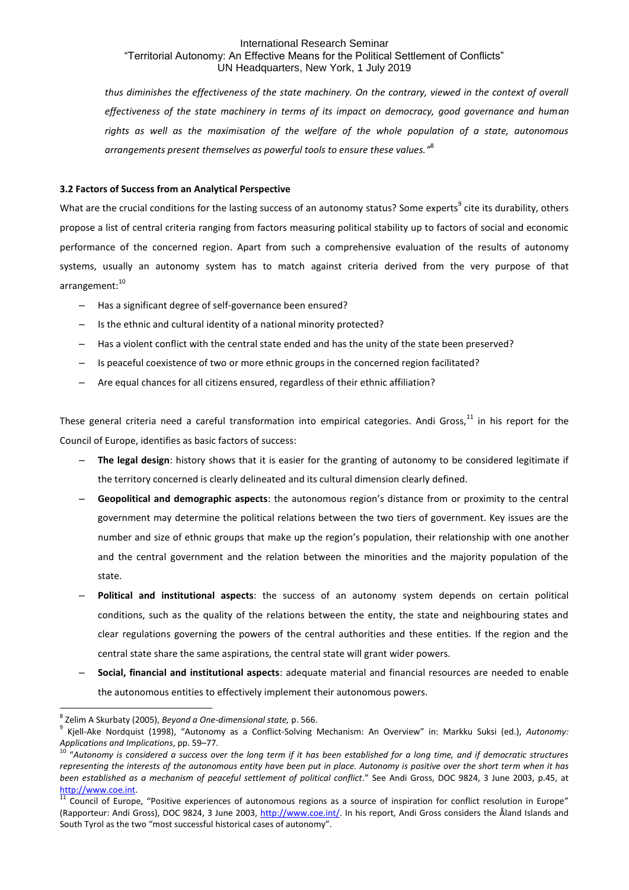*thus diminishes the effectiveness of the state machinery. On the contrary, viewed in the context of overall effectiveness of the state machinery in terms of its impact on democracy, good governance and human rights as well as the maximisation of the welfare of the whole population of a state, autonomous arrangements present themselves as powerful tools to ensure these values."* 8

## **3.2 Factors of Success from an Analytical Perspective**

What are the crucial conditions for the lasting success of an autonomy status? Some experts<sup>9</sup> cite its durability, others propose a list of central criteria ranging from factors measuring political stability up to factors of social and economic performance of the concerned region. Apart from such a comprehensive evaluation of the results of autonomy systems, usually an autonomy system has to match against criteria derived from the very purpose of that arrangement: 10

- ‒ Has a significant degree of self-governance been ensured?
- Is the ethnic and cultural identity of a national minority protected?
- Has a violent conflict with the central state ended and has the unity of the state been preserved?
- ‒ Is peaceful coexistence of two or more ethnic groups in the concerned region facilitated?
- ‒ Are equal chances for all citizens ensured, regardless of their ethnic affiliation?

These general criteria need a careful transformation into empirical categories. Andi Gross, $^{11}$  in his report for the Council of Europe, identifies as basic factors of success:

- ‒ **The legal design**: history shows that it is easier for the granting of autonomy to be considered legitimate if the territory concerned is clearly delineated and its cultural dimension clearly defined.
- ‒ **Geopolitical and demographic aspects**: the autonomous region's distance from or proximity to the central government may determine the political relations between the two tiers of government. Key issues are the number and size of ethnic groups that make up the region's population, their relationship with one another and the central government and the relation between the minorities and the majority population of the state.
- ‒ **Political and institutional aspects**: the success of an autonomy system depends on certain political conditions, such as the quality of the relations between the entity, the state and neighbouring states and clear regulations governing the powers of the central authorities and these entities. If the region and the central state share the same aspirations, the central state will grant wider powers.
- ‒ **Social, financial and institutional aspects**: adequate material and financial resources are needed to enable the autonomous entities to effectively implement their autonomous powers.

<sup>8</sup> Zelim A Skurbaty (2005), *Beyond a One-dimensional state,* p. 566.

<sup>9</sup> Kjell-Ake Nordquist (1998), "Autonomy as a Conflict-Solving Mechanism: An Overview" in: Markku Suksi (ed.), *Autonomy: Applications and Implications*, pp. 59–77.

<sup>10</sup> "*Autonomy is considered a success over the long term if it has been established for a long time, and if democratic structures representing the interests of the autonomous entity have been put in place. Autonomy is positive over the short term when it has been established as a mechanism of peaceful settlement of political conflict*." See Andi Gross, DOC 9824, 3 June 2003, p.45, at [http://www.coe.int.](http://www.coe.int/)

<sup>&</sup>lt;sup>11</sup> Council of Europe, "Positive experiences of autonomous regions as a source of inspiration for conflict resolution in Europe" (Rapporteur: Andi Gross), DOC 9824, 3 June 2003, [http://www.coe.int/.](http://www.coe.int/) In his report, Andi Gross considers the Åland Islands and South Tyrol as the two "most successful historical cases of autonomy".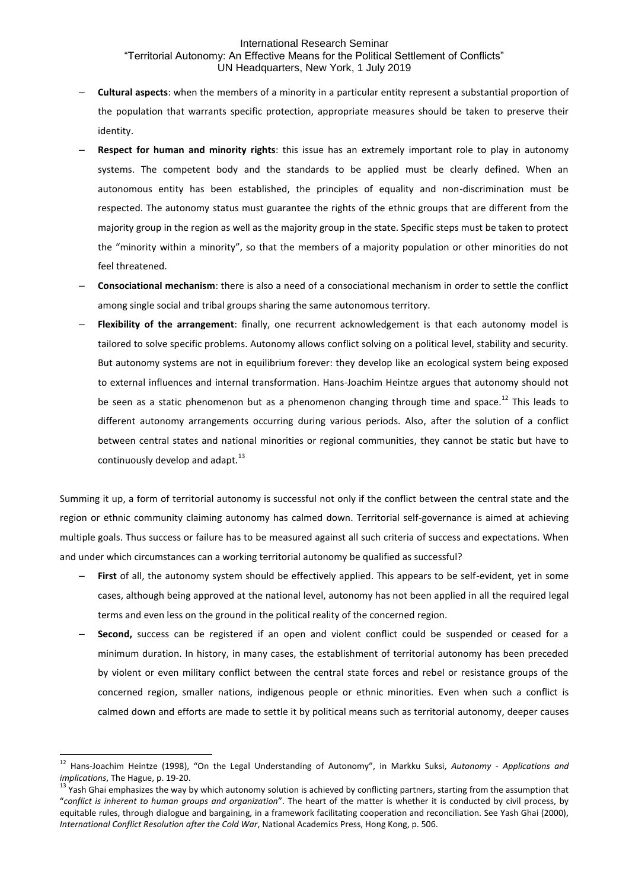- ‒ **Cultural aspects**: when the members of a minority in a particular entity represent a substantial proportion of the population that warrants specific protection, appropriate measures should be taken to preserve their identity.
- ‒ **Respect for human and minority rights**: this issue has an extremely important role to play in autonomy systems. The competent body and the standards to be applied must be clearly defined. When an autonomous entity has been established, the principles of equality and non-discrimination must be respected. The autonomy status must guarantee the rights of the ethnic groups that are different from the majority group in the region as well as the majority group in the state. Specific steps must be taken to protect the "minority within a minority", so that the members of a majority population or other minorities do not feel threatened.
- ‒ **Consociational mechanism**: there is also a need of a consociational mechanism in order to settle the conflict among single social and tribal groups sharing the same autonomous territory.
- ‒ **Flexibility of the arrangement**: finally, one recurrent acknowledgement is that each autonomy model is tailored to solve specific problems. Autonomy allows conflict solving on a political level, stability and security. But autonomy systems are not in equilibrium forever: they develop like an ecological system being exposed to external influences and internal transformation. Hans-Joachim Heintze argues that autonomy should not be seen as a static phenomenon but as a phenomenon changing through time and space.<sup>12</sup> This leads to different autonomy arrangements occurring during various periods. Also, after the solution of a conflict between central states and national minorities or regional communities, they cannot be static but have to continuously develop and adapt*.* 13

Summing it up, a form of territorial autonomy is successful not only if the conflict between the central state and the region or ethnic community claiming autonomy has calmed down. Territorial self-governance is aimed at achieving multiple goals. Thus success or failure has to be measured against all such criteria of success and expectations. When and under which circumstances can a working territorial autonomy be qualified as successful?

- First of all, the autonomy system should be effectively applied. This appears to be self-evident, yet in some cases, although being approved at the national level, autonomy has not been applied in all the required legal terms and even less on the ground in the political reality of the concerned region.
- ‒ **Second,** success can be registered if an open and violent conflict could be suspended or ceased for a minimum duration. In history, in many cases, the establishment of territorial autonomy has been preceded by violent or even military conflict between the central state forces and rebel or resistance groups of the concerned region, smaller nations, indigenous people or ethnic minorities. Even when such a conflict is calmed down and efforts are made to settle it by political means such as territorial autonomy, deeper causes

<sup>12</sup> Hans-Joachim Heintze (1998), "On the Legal Understanding of Autonomy", in Markku Suksi, *Autonomy - Applications and implications*, The Hague, p. 19-20.

<sup>13</sup> Yash Ghai emphasizes the way by which autonomy solution is achieved by conflicting partners, starting from the assumption that "*conflict is inherent to human groups and organization*". The heart of the matter is whether it is conducted by civil process, by equitable rules, through dialogue and bargaining, in a framework facilitating cooperation and reconciliation. See Yash Ghai (2000), *International Conflict Resolution after the Cold War*, National Academics Press, Hong Kong, p. 506.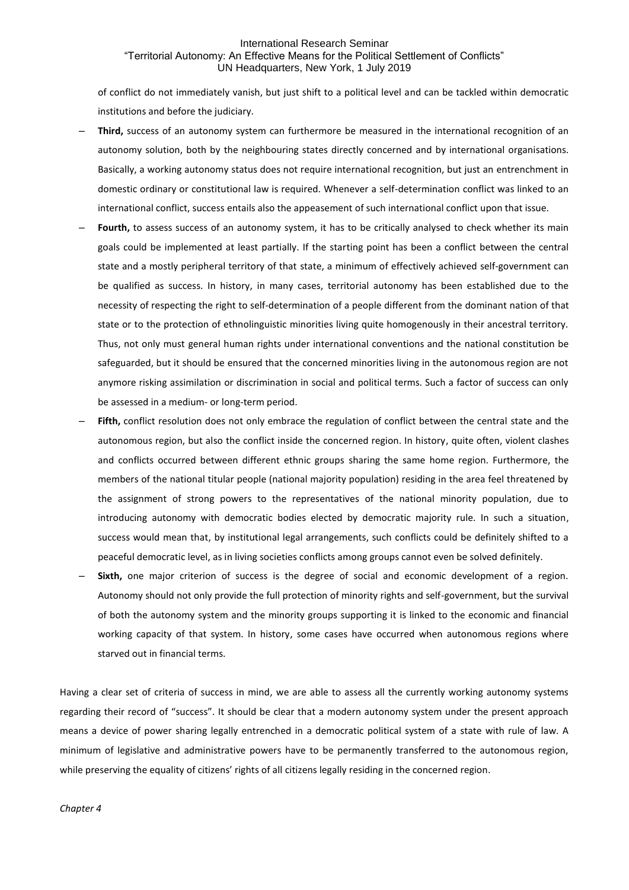of conflict do not immediately vanish, but just shift to a political level and can be tackled within democratic institutions and before the judiciary.

- ‒ **Third,** success of an autonomy system can furthermore be measured in the international recognition of an autonomy solution, both by the neighbouring states directly concerned and by international organisations. Basically, a working autonomy status does not require international recognition, but just an entrenchment in domestic ordinary or constitutional law is required. Whenever a self-determination conflict was linked to an international conflict, success entails also the appeasement of such international conflict upon that issue.
- Fourth, to assess success of an autonomy system, it has to be critically analysed to check whether its main goals could be implemented at least partially. If the starting point has been a conflict between the central state and a mostly peripheral territory of that state, a minimum of effectively achieved self-government can be qualified as success. In history, in many cases, territorial autonomy has been established due to the necessity of respecting the right to self-determination of a people different from the dominant nation of that state or to the protection of ethnolinguistic minorities living quite homogenously in their ancestral territory. Thus, not only must general human rights under international conventions and the national constitution be safeguarded, but it should be ensured that the concerned minorities living in the autonomous region are not anymore risking assimilation or discrimination in social and political terms. Such a factor of success can only be assessed in a medium- or long-term period.
- Fifth, conflict resolution does not only embrace the regulation of conflict between the central state and the autonomous region, but also the conflict inside the concerned region. In history, quite often, violent clashes and conflicts occurred between different ethnic groups sharing the same home region. Furthermore, the members of the national titular people (national majority population) residing in the area feel threatened by the assignment of strong powers to the representatives of the national minority population, due to introducing autonomy with democratic bodies elected by democratic majority rule. In such a situation, success would mean that, by institutional legal arrangements, such conflicts could be definitely shifted to a peaceful democratic level, as in living societies conflicts among groups cannot even be solved definitely.
- Sixth, one major criterion of success is the degree of social and economic development of a region. Autonomy should not only provide the full protection of minority rights and self-government, but the survival of both the autonomy system and the minority groups supporting it is linked to the economic and financial working capacity of that system. In history, some cases have occurred when autonomous regions where starved out in financial terms.

Having a clear set of criteria of success in mind, we are able to assess all the currently working autonomy systems regarding their record of "success". It should be clear that a modern autonomy system under the present approach means a device of power sharing legally entrenched in a democratic political system of a state with rule of law. A minimum of legislative and administrative powers have to be permanently transferred to the autonomous region, while preserving the equality of citizens' rights of all citizens legally residing in the concerned region.

## *Chapter 4*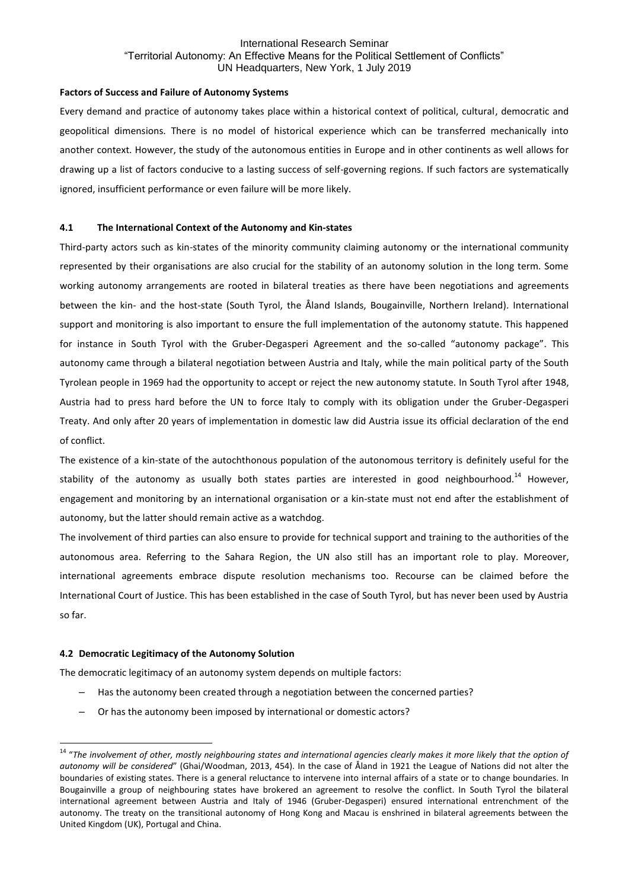## **Factors of Success and Failure of Autonomy Systems**

Every demand and practice of autonomy takes place within a historical context of political, cultural, democratic and geopolitical dimensions. There is no model of historical experience which can be transferred mechanically into another context. However, the study of the autonomous entities in Europe and in other continents as well allows for drawing up a list of factors conducive to a lasting success of self-governing regions. If such factors are systematically ignored, insufficient performance or even failure will be more likely.

## **4.1 The International Context of the Autonomy and Kin-states**

Third-party actors such as kin-states of the minority community claiming autonomy or the international community represented by their organisations are also crucial for the stability of an autonomy solution in the long term. Some working autonomy arrangements are rooted in bilateral treaties as there have been negotiations and agreements between the kin- and the host-state (South Tyrol, the Åland Islands, Bougainville, Northern Ireland). International support and monitoring is also important to ensure the full implementation of the autonomy statute. This happened for instance in South Tyrol with the Gruber-Degasperi Agreement and the so-called "autonomy package". This autonomy came through a bilateral negotiation between Austria and Italy, while the main political party of the South Tyrolean people in 1969 had the opportunity to accept or reject the new autonomy statute. In South Tyrol after 1948, Austria had to press hard before the UN to force Italy to comply with its obligation under the Gruber-Degasperi Treaty. And only after 20 years of implementation in domestic law did Austria issue its official declaration of the end of conflict.

The existence of a kin-state of the autochthonous population of the autonomous territory is definitely useful for the stability of the autonomy as usually both states parties are interested in good neighbourhood.<sup>14</sup> However. engagement and monitoring by an international organisation or a kin-state must not end after the establishment of autonomy, but the latter should remain active as a watchdog.

The involvement of third parties can also ensure to provide for technical support and training to the authorities of the autonomous area. Referring to the Sahara Region, the UN also still has an important role to play. Moreover, international agreements embrace dispute resolution mechanisms too. Recourse can be claimed before the International Court of Justice. This has been established in the case of South Tyrol, but has never been used by Austria so far.

## **4.2 Democratic Legitimacy of the Autonomy Solution**

1

The democratic legitimacy of an autonomy system depends on multiple factors:

- ‒ Has the autonomy been created through a negotiation between the concerned parties?
- Or has the autonomy been imposed by international or domestic actors?

<sup>&</sup>lt;sup>14</sup> "The involvement of other, mostly neighbouring states and international agencies clearly makes it more likely that the option of *autonomy will be considered*" (Ghai/Woodman, 2013, 454). In the case of Åland in 1921 the League of Nations did not alter the boundaries of existing states. There is a general reluctance to intervene into internal affairs of a state or to change boundaries. In Bougainville a group of neighbouring states have brokered an agreement to resolve the conflict. In South Tyrol the bilateral international agreement between Austria and Italy of 1946 (Gruber-Degasperi) ensured international entrenchment of the autonomy. The treaty on the transitional autonomy of Hong Kong and Macau is enshrined in bilateral agreements between the United Kingdom (UK), Portugal and China.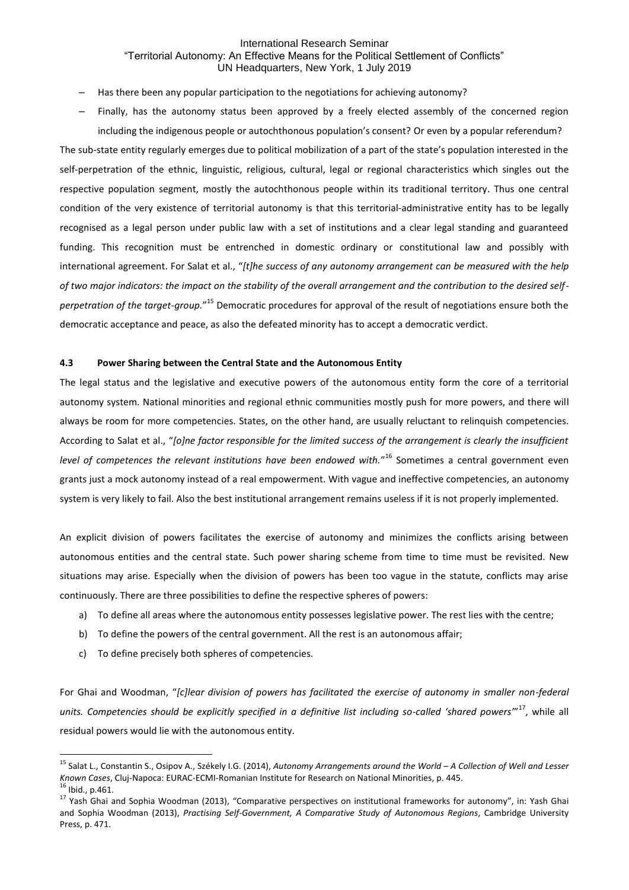- Has there been any popular participation to the negotiations for achieving autonomy?
- Finally, has the autonomy status been approved by a freely elected assembly of the concerned region including the indigenous people or autochthonous population's consent? Or even by a popular referendum?

The sub-state entity regularly emerges due to political mobilization of a part of the state's population interested in the self-perpetration of the ethnic, linguistic, religious, cultural, legal or regional characteristics which singles out the respective population segment, mostly the autochthonous people within its traditional territory. Thus one central condition of the very existence of territorial autonomy is that this territorial-administrative entity has to be legally recognised as a legal person under public law with a set of institutions and a clear legal standing and guaranteed funding. This recognition must be entrenched in domestic ordinary or constitutional law and possibly with international agreement. For Salat et al., "*[t]he success of any autonomy arrangement can be measured with the help of two major indicators: the impact on the stability of the overall arrangement and the contribution to the desired self*perpetration of the target-group."<sup>15</sup> Democratic procedures for approval of the result of negotiations ensure both the democratic acceptance and peace, as also the defeated minority has to accept a democratic verdict.

## **4.3 Power Sharing between the Central State and the Autonomous Entity**

The legal status and the legislative and executive powers of the autonomous entity form the core of a territorial autonomy system. National minorities and regional ethnic communities mostly push for more powers, and there will always be room for more competencies. States, on the other hand, are usually reluctant to relinquish competencies. According to Salat et al., "*[o]ne factor responsible for the limited success of the arrangement is clearly the insufficient level of competences the relevant institutions have been endowed with.*" <sup>16</sup> Sometimes a central government even grants just a mock autonomy instead of a real empowerment. With vague and ineffective competencies, an autonomy system is very likely to fail. Also the best institutional arrangement remains useless if it is not properly implemented.

An explicit division of powers facilitates the exercise of autonomy and minimizes the conflicts arising between autonomous entities and the central state. Such power sharing scheme from time to time must be revisited. New situations may arise. Especially when the division of powers has been too vague in the statute, conflicts may arise continuously. There are three possibilities to define the respective spheres of powers:

- a) To define all areas where the autonomous entity possesses legislative power. The rest lies with the centre;
- b) To define the powers of the central government. All the rest is an autonomous affair;
- c) To define precisely both spheres of competencies.

For Ghai and Woodman, "*[c]lear division of powers has facilitated the exercise of autonomy in smaller non-federal*  units. Competencies should be explicitly specified in a definitive list including so-called 'shared powers'<sup>"17</sup>, while all residual powers would lie with the autonomous entity.

<sup>15</sup> Salat L., Constantin S., Osipov A., Székely I.G. (2014), *Autonomy Arrangements around the World – A Collection of Well and Lesser Known Cases*, Cluj-Napoca: EURAC-ECMI-Romanian Institute for Research on National Minorities, p. 445.

 $16$  Ibid., p.461.

<sup>&</sup>lt;sup>17</sup> Yash Ghai and Sophia Woodman (2013), "Comparative perspectives on institutional frameworks for autonomy", in: Yash Ghai and Sophia Woodman (2013), *Practising Self-Government, A Comparative Study of Autonomous Regions*, Cambridge University Press, p. 471.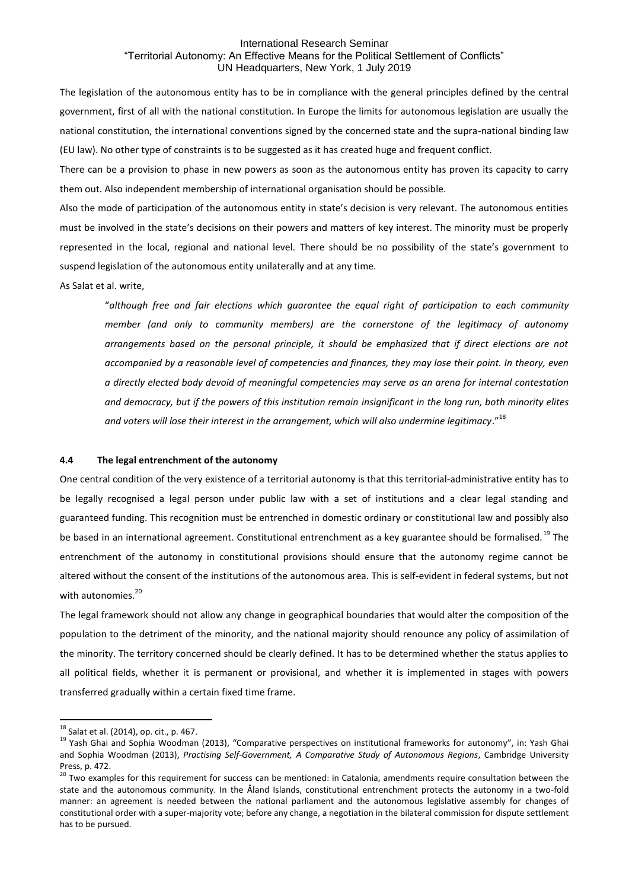The legislation of the autonomous entity has to be in compliance with the general principles defined by the central government, first of all with the national constitution. In Europe the limits for autonomous legislation are usually the national constitution, the international conventions signed by the concerned state and the supra-national binding law (EU law). No other type of constraints is to be suggested as it has created huge and frequent conflict.

There can be a provision to phase in new powers as soon as the autonomous entity has proven its capacity to carry them out. Also independent membership of international organisation should be possible.

Also the mode of participation of the autonomous entity in state's decision is very relevant. The autonomous entities must be involved in the state's decisions on their powers and matters of key interest. The minority must be properly represented in the local, regional and national level. There should be no possibility of the state's government to suspend legislation of the autonomous entity unilaterally and at any time.

As Salat et al. write,

"*although free and fair elections which guarantee the equal right of participation to each community member (and only to community members) are the cornerstone of the legitimacy of autonomy arrangements based on the personal principle, it should be emphasized that if direct elections are not accompanied by a reasonable level of competencies and finances, they may lose their point. In theory, even a directly elected body devoid of meaningful competencies may serve as an arena for internal contestation and democracy, but if the powers of this institution remain insignificant in the long run, both minority elites and voters will lose their interest in the arrangement, which will also undermine legitimacy*."<sup>18</sup>

#### **4.4 The legal entrenchment of the autonomy**

One central condition of the very existence of a territorial autonomy is that this territorial-administrative entity has to be legally recognised a legal person under public law with a set of institutions and a clear legal standing and guaranteed funding. This recognition must be entrenched in domestic ordinary or constitutional law and possibly also be based in an international agreement. Constitutional entrenchment as a key guarantee should be formalised.<sup>19</sup> The entrenchment of the autonomy in constitutional provisions should ensure that the autonomy regime cannot be altered without the consent of the institutions of the autonomous area. This is self-evident in federal systems, but not with autonomies.<sup>20</sup>

The legal framework should not allow any change in geographical boundaries that would alter the composition of the population to the detriment of the minority, and the national majority should renounce any policy of assimilation of the minority. The territory concerned should be clearly defined. It has to be determined whether the status applies to all political fields, whether it is permanent or provisional, and whether it is implemented in stages with powers transferred gradually within a certain fixed time frame.

<sup>18</sup> Salat et al. (2014), op. cit., p. 467.

<sup>&</sup>lt;sup>19</sup> Yash Ghai and Sophia Woodman (2013), "Comparative perspectives on institutional frameworks for autonomy", in: Yash Ghai and Sophia Woodman (2013), *Practising Self-Government, A Comparative Study of Autonomous Regions*, Cambridge University Press, p. 472.

<sup>&</sup>lt;sup>20</sup> Two examples for this requirement for success can be mentioned: in Catalonia, amendments require consultation between the state and the autonomous community. In the Åland Islands, constitutional entrenchment protects the autonomy in a two-fold manner: an agreement is needed between the national parliament and the autonomous legislative assembly for changes of constitutional order with a super-majority vote; before any change, a negotiation in the bilateral commission for dispute settlement has to be pursued.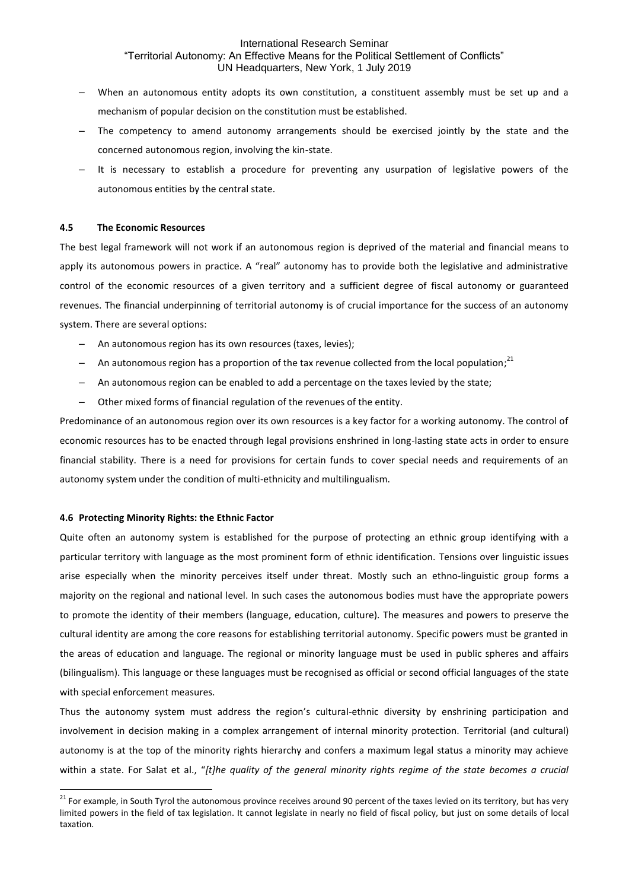- When an autonomous entity adopts its own constitution, a constituent assembly must be set up and a mechanism of popular decision on the constitution must be established.
- The competency to amend autonomy arrangements should be exercised jointly by the state and the concerned autonomous region, involving the kin-state.
- ‒ It is necessary to establish a procedure for preventing any usurpation of legislative powers of the autonomous entities by the central state.

### **4.5 The Economic Resources**

The best legal framework will not work if an autonomous region is deprived of the material and financial means to apply its autonomous powers in practice. A "real" autonomy has to provide both the legislative and administrative control of the economic resources of a given territory and a sufficient degree of fiscal autonomy or guaranteed revenues. The financial underpinning of territorial autonomy is of crucial importance for the success of an autonomy system. There are several options:

- ‒ An autonomous region has its own resources (taxes, levies);
- $-$  An autonomous region has a proportion of the tax revenue collected from the local population;<sup>21</sup>
- ‒ An autonomous region can be enabled to add a percentage on the taxes levied by the state;
- ‒ Other mixed forms of financial regulation of the revenues of the entity.

Predominance of an autonomous region over its own resources is a key factor for a working autonomy. The control of economic resources has to be enacted through legal provisions enshrined in long-lasting state acts in order to ensure financial stability. There is a need for provisions for certain funds to cover special needs and requirements of an autonomy system under the condition of multi-ethnicity and multilingualism.

#### **4.6 Protecting Minority Rights: the Ethnic Factor**

1

Quite often an autonomy system is established for the purpose of protecting an ethnic group identifying with a particular territory with language as the most prominent form of ethnic identification. Tensions over linguistic issues arise especially when the minority perceives itself under threat. Mostly such an ethno-linguistic group forms a majority on the regional and national level. In such cases the autonomous bodies must have the appropriate powers to promote the identity of their members (language, education, culture). The measures and powers to preserve the cultural identity are among the core reasons for establishing territorial autonomy. Specific powers must be granted in the areas of education and language. The regional or minority language must be used in public spheres and affairs (bilingualism). This language or these languages must be recognised as official or second official languages of the state with special enforcement measures.

Thus the autonomy system must address the region's cultural-ethnic diversity by enshrining participation and involvement in decision making in a complex arrangement of internal minority protection. Territorial (and cultural) autonomy is at the top of the minority rights hierarchy and confers a maximum legal status a minority may achieve within a state. For Salat et al., "*[t]he quality of the general minority rights regime of the state becomes a crucial* 

<sup>&</sup>lt;sup>21</sup> For example, in South Tyrol the autonomous province receives around 90 percent of the taxes levied on its territory, but has very limited powers in the field of tax legislation. It cannot legislate in nearly no field of fiscal policy, but just on some details of local taxation.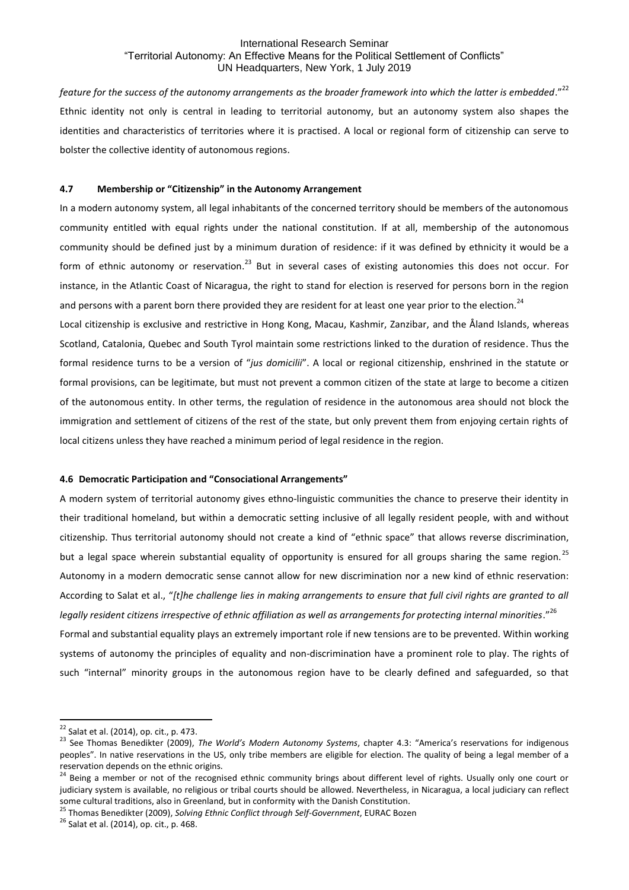feature for the success of the autonomy arrangements as the broader framework into which the latter is embedded."<sup>22</sup> Ethnic identity not only is central in leading to territorial autonomy, but an autonomy system also shapes the identities and characteristics of territories where it is practised. A local or regional form of citizenship can serve to bolster the collective identity of autonomous regions.

## **4.7 Membership or "Citizenship" in the Autonomy Arrangement**

In a modern autonomy system, all legal inhabitants of the concerned territory should be members of the autonomous community entitled with equal rights under the national constitution. If at all, membership of the autonomous community should be defined just by a minimum duration of residence: if it was defined by ethnicity it would be a form of ethnic autonomy or reservation.<sup>23</sup> But in several cases of existing autonomies this does not occur. For instance, in the Atlantic Coast of Nicaragua, the right to stand for election is reserved for persons born in the region and persons with a parent born there provided they are resident for at least one year prior to the election.<sup>24</sup>

Local citizenship is exclusive and restrictive in Hong Kong, Macau, Kashmir, Zanzibar, and the Åland Islands, whereas Scotland, Catalonia, Quebec and South Tyrol maintain some restrictions linked to the duration of residence. Thus the formal residence turns to be a version of "*jus domicilii*". A local or regional citizenship, enshrined in the statute or formal provisions, can be legitimate, but must not prevent a common citizen of the state at large to become a citizen of the autonomous entity. In other terms, the regulation of residence in the autonomous area should not block the immigration and settlement of citizens of the rest of the state, but only prevent them from enjoying certain rights of local citizens unless they have reached a minimum period of legal residence in the region.

## **4.6 Democratic Participation and "Consociational Arrangements"**

A modern system of territorial autonomy gives ethno-linguistic communities the chance to preserve their identity in their traditional homeland, but within a democratic setting inclusive of all legally resident people, with and without citizenship. Thus territorial autonomy should not create a kind of "ethnic space" that allows reverse discrimination, but a legal space wherein substantial equality of opportunity is ensured for all groups sharing the same region.<sup>25</sup> Autonomy in a modern democratic sense cannot allow for new discrimination nor a new kind of ethnic reservation: According to Salat et al., "*[t]he challenge lies in making arrangements to ensure that full civil rights are granted to all legally resident citizens irrespective of ethnic affiliation as well as arrangements for protecting internal minorities*." 26 Formal and substantial equality plays an extremely important role if new tensions are to be prevented. Within working

systems of autonomy the principles of equality and non-discrimination have a prominent role to play. The rights of such "internal" minority groups in the autonomous region have to be clearly defined and safeguarded, so that

1

<sup>25</sup> Thomas Benedikter (2009), *Solving Ethnic Conflict through Self-Government*, EURAC Bozen

 $22$  Salat et al. (2014), op. cit., p. 473.

<sup>23</sup> See Thomas Benedikter (2009), *The World's Modern Autonomy Systems*, chapter 4.3: "America's reservations for indigenous peoples". In native reservations in the US, only tribe members are eligible for election. The quality of being a legal member of a reservation depends on the ethnic origins.

<sup>&</sup>lt;sup>24</sup> Being a member or not of the recognised ethnic community brings about different level of rights. Usually only one court or judiciary system is available, no religious or tribal courts should be allowed. Nevertheless, in Nicaragua, a local judiciary can reflect some cultural traditions, also in Greenland, but in conformity with the Danish Constitution.

 $26$  Salat et al. (2014), op. cit., p. 468.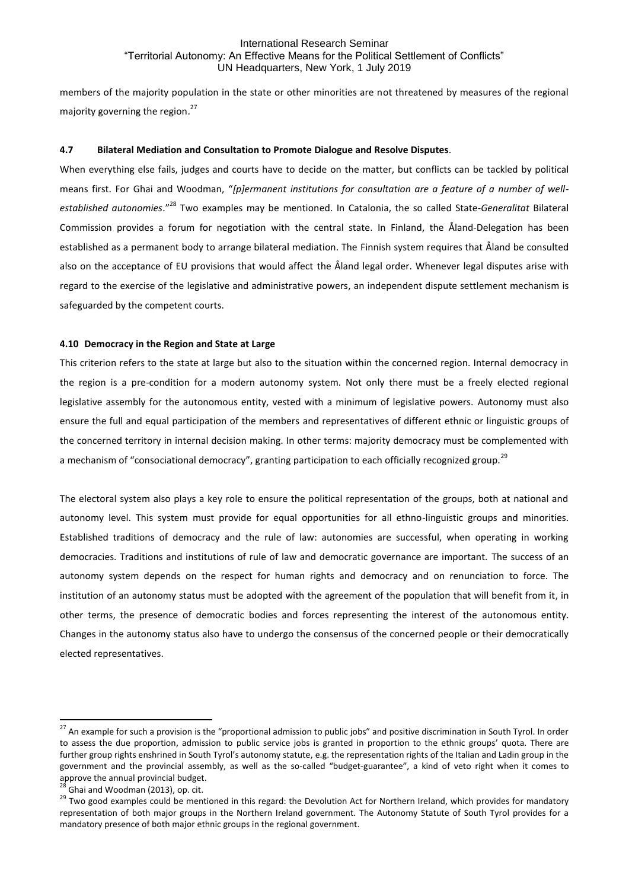members of the majority population in the state or other minorities are not threatened by measures of the regional majority governing the region.<sup>27</sup>

### **4.7 Bilateral Mediation and Consultation to Promote Dialogue and Resolve Disputes**.

When everything else fails, judges and courts have to decide on the matter, but conflicts can be tackled by political means first. For Ghai and Woodman, "*[p]ermanent institutions for consultation are a feature of a number of wellestablished autonomies*."<sup>28</sup> Two examples may be mentioned. In Catalonia, the so called State-*Generalitat* Bilateral Commission provides a forum for negotiation with the central state. In Finland, the Åland-Delegation has been established as a permanent body to arrange bilateral mediation. The Finnish system requires that Åland be consulted also on the acceptance of EU provisions that would affect the Åland legal order. Whenever legal disputes arise with regard to the exercise of the legislative and administrative powers, an independent dispute settlement mechanism is safeguarded by the competent courts.

## **4.10 Democracy in the Region and State at Large**

This criterion refers to the state at large but also to the situation within the concerned region. Internal democracy in the region is a pre-condition for a modern autonomy system. Not only there must be a freely elected regional legislative assembly for the autonomous entity, vested with a minimum of legislative powers. Autonomy must also ensure the full and equal participation of the members and representatives of different ethnic or linguistic groups of the concerned territory in internal decision making. In other terms: majority democracy must be complemented with a mechanism of "consociational democracy", granting participation to each officially recognized group.<sup>29</sup>

The electoral system also plays a key role to ensure the political representation of the groups, both at national and autonomy level. This system must provide for equal opportunities for all ethno-linguistic groups and minorities. Established traditions of democracy and the rule of law: autonomies are successful, when operating in working democracies. Traditions and institutions of rule of law and democratic governance are important. The success of an autonomy system depends on the respect for human rights and democracy and on renunciation to force. The institution of an autonomy status must be adopted with the agreement of the population that will benefit from it, in other terms, the presence of democratic bodies and forces representing the interest of the autonomous entity. Changes in the autonomy status also have to undergo the consensus of the concerned people or their democratically elected representatives.

<sup>&</sup>lt;sup>27</sup> An example for such a provision is the "proportional admission to public jobs" and positive discrimination in South Tyrol. In order to assess the due proportion, admission to public service jobs is granted in proportion to the ethnic groups' quota. There are further group rights enshrined in South Tyrol's autonomy statute, e.g. the representation rights of the Italian and Ladin group in the government and the provincial assembly, as well as the so-called "budget-guarantee", a kind of veto right when it comes to approve the annual provincial budget.

 $\overline{a}$  Ghai and Woodman (2013), op. cit.

<sup>&</sup>lt;sup>29</sup> Two good examples could be mentioned in this regard: the Devolution Act for Northern Ireland, which provides for mandatory representation of both major groups in the Northern Ireland government. The Autonomy Statute of South Tyrol provides for a mandatory presence of both major ethnic groups in the regional government.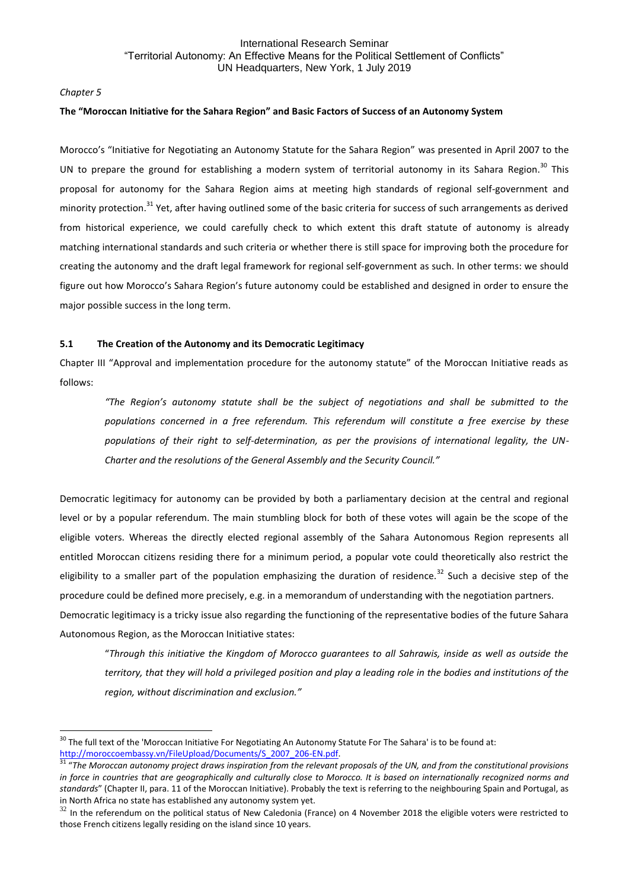## *Chapter 5*

**.** 

## **The "Moroccan Initiative for the Sahara Region" and Basic Factors of Success of an Autonomy System**

Morocco's "Initiative for Negotiating an Autonomy Statute for the Sahara Region" was presented in April 2007 to the UN to prepare the ground for establishing a modern system of territorial autonomy in its Sahara Region.<sup>30</sup> This proposal for autonomy for the Sahara Region aims at meeting high standards of regional self-government and minority protection.<sup>31</sup> Yet, after having outlined some of the basic criteria for success of such arrangements as derived from historical experience, we could carefully check to which extent this draft statute of autonomy is already matching international standards and such criteria or whether there is still space for improving both the procedure for creating the autonomy and the draft legal framework for regional self-government as such. In other terms: we should figure out how Morocco's Sahara Region's future autonomy could be established and designed in order to ensure the major possible success in the long term.

## **5.1 The Creation of the Autonomy and its Democratic Legitimacy**

Chapter III "Approval and implementation procedure for the autonomy statute" of the Moroccan Initiative reads as follows:

*"The Region's autonomy statute shall be the subject of negotiations and shall be submitted to the populations concerned in a free referendum. This referendum will constitute a free exercise by these populations of their right to self-determination, as per the provisions of international legality, the UN-Charter and the resolutions of the General Assembly and the Security Council."*

Democratic legitimacy for autonomy can be provided by both a parliamentary decision at the central and regional level or by a popular referendum. The main stumbling block for both of these votes will again be the scope of the eligible voters. Whereas the directly elected regional assembly of the Sahara Autonomous Region represents all entitled Moroccan citizens residing there for a minimum period, a popular vote could theoretically also restrict the eligibility to a smaller part of the population emphasizing the duration of residence.<sup>32</sup> Such a decisive step of the procedure could be defined more precisely, e.g. in a memorandum of understanding with the negotiation partners. Democratic legitimacy is a tricky issue also regarding the functioning of the representative bodies of the future Sahara Autonomous Region, as the Moroccan Initiative states:

"*Through this initiative the Kingdom of Morocco guarantees to all Sahrawis, inside as well as outside the territory, that they will hold a privileged position and play a leading role in the bodies and institutions of the region, without discrimination and exclusion."*

<sup>&</sup>lt;sup>30</sup> The full text of the 'Moroccan Initiative For Negotiating An Autonomy Statute For The Sahara' is to be found at: [http://moroccoembassy.vn/FileUpload/Documents/S\\_2007\\_206-EN.pdf.](http://moroccoembassy.vn/FileUpload/Documents/S_2007_206-EN.pdf) 

<sup>&</sup>lt;sup>31</sup> "The Moroccan autonomy project draws inspiration from the relevant proposals of the UN, and from the constitutional provisions *in force in countries that are geographically and culturally close to Morocco. It is based on internationally recognized norms and standards*" (Chapter II, para. 11 of the Moroccan Initiative). Probably the text is referring to the neighbouring Spain and Portugal, as in North Africa no state has established any autonomy system yet.

 $32$  In the referendum on the political status of New Caledonia (France) on 4 November 2018 the eligible voters were restricted to those French citizens legally residing on the island since 10 years.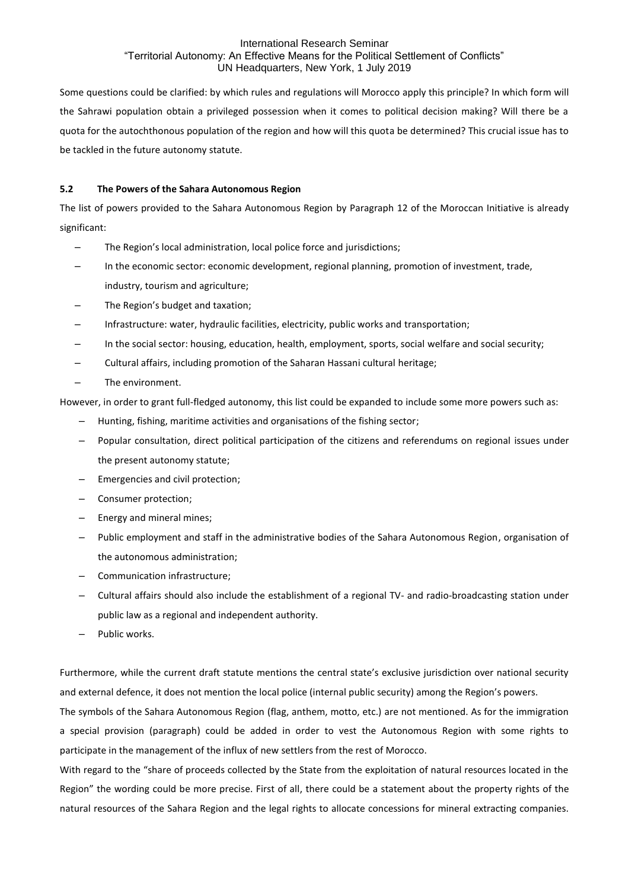Some questions could be clarified: by which rules and regulations will Morocco apply this principle? In which form will the Sahrawi population obtain a privileged possession when it comes to political decision making? Will there be a quota for the autochthonous population of the region and how will this quota be determined? This crucial issue has to be tackled in the future autonomy statute.

# **5.2 The Powers of the Sahara Autonomous Region**

The list of powers provided to the Sahara Autonomous Region by Paragraph 12 of the Moroccan Initiative is already significant:

- ‒ The Region's local administration, local police force and jurisdictions;
- ‒ In the economic sector: economic development, regional planning, promotion of investment, trade, industry, tourism and agriculture;
- ‒ The Region's budget and taxation;
- ‒ Infrastructure: water, hydraulic facilities, electricity, public works and transportation;
- ‒ In the social sector: housing, education, health, employment, sports, social welfare and social security;
- ‒ Cultural affairs, including promotion of the Saharan Hassani cultural heritage;
- ‒ The environment.

However, in order to grant full-fledged autonomy, this list could be expanded to include some more powers such as:

- ‒ Hunting, fishing, maritime activities and organisations of the fishing sector;
- ‒ Popular consultation, direct political participation of the citizens and referendums on regional issues under the present autonomy statute;
- ‒ Emergencies and civil protection;
- ‒ Consumer protection;
- ‒ Energy and mineral mines;
- ‒ Public employment and staff in the administrative bodies of the Sahara Autonomous Region, organisation of the autonomous administration;
- ‒ Communication infrastructure;
- ‒ Cultural affairs should also include the establishment of a regional TV- and radio-broadcasting station under public law as a regional and independent authority.
- ‒ Public works.

Furthermore, while the current draft statute mentions the central state's exclusive jurisdiction over national security and external defence, it does not mention the local police (internal public security) among the Region's powers.

The symbols of the Sahara Autonomous Region (flag, anthem, motto, etc.) are not mentioned. As for the immigration a special provision (paragraph) could be added in order to vest the Autonomous Region with some rights to participate in the management of the influx of new settlers from the rest of Morocco.

With regard to the "share of proceeds collected by the State from the exploitation of natural resources located in the Region" the wording could be more precise. First of all, there could be a statement about the property rights of the natural resources of the Sahara Region and the legal rights to allocate concessions for mineral extracting companies.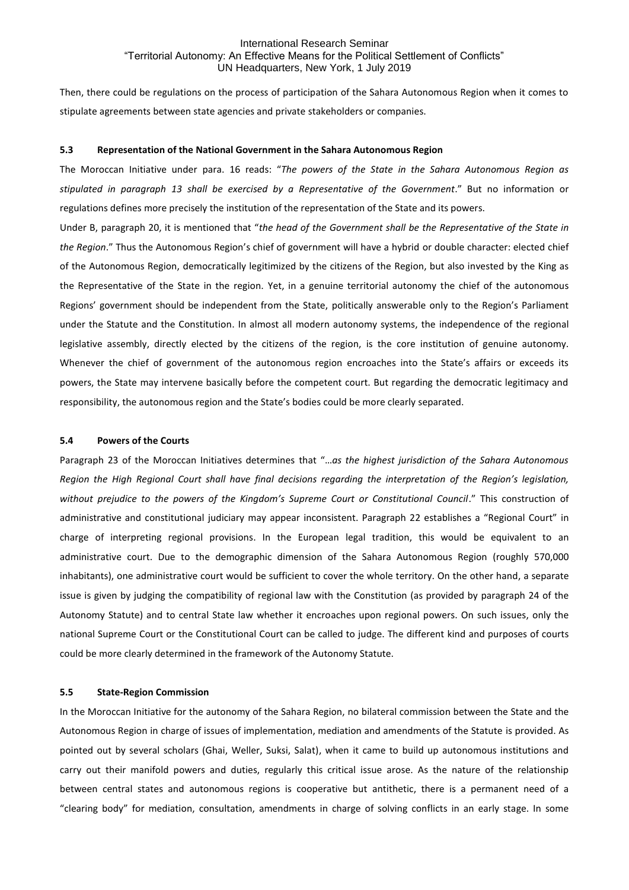Then, there could be regulations on the process of participation of the Sahara Autonomous Region when it comes to stipulate agreements between state agencies and private stakeholders or companies.

#### **5.3 Representation of the National Government in the Sahara Autonomous Region**

The Moroccan Initiative under para. 16 reads: "*The powers of the State in the Sahara Autonomous Region as stipulated in paragraph 13 shall be exercised by a Representative of the Government*." But no information or regulations defines more precisely the institution of the representation of the State and its powers.

Under B, paragraph 20, it is mentioned that "*the head of the Government shall be the Representative of the State in the Region*." Thus the Autonomous Region's chief of government will have a hybrid or double character: elected chief of the Autonomous Region, democratically legitimized by the citizens of the Region, but also invested by the King as the Representative of the State in the region. Yet, in a genuine territorial autonomy the chief of the autonomous Regions' government should be independent from the State, politically answerable only to the Region's Parliament under the Statute and the Constitution. In almost all modern autonomy systems, the independence of the regional legislative assembly, directly elected by the citizens of the region, is the core institution of genuine autonomy. Whenever the chief of government of the autonomous region encroaches into the State's affairs or exceeds its powers, the State may intervene basically before the competent court. But regarding the democratic legitimacy and responsibility, the autonomous region and the State's bodies could be more clearly separated.

#### **5.4 Powers of the Courts**

Paragraph 23 of the Moroccan Initiatives determines that "…*as the highest jurisdiction of the Sahara Autonomous Region the High Regional Court shall have final decisions regarding the interpretation of the Region's legislation,* without prejudice to the powers of the Kingdom's Supreme Court or Constitutional Council." This construction of administrative and constitutional judiciary may appear inconsistent. Paragraph 22 establishes a "Regional Court" in charge of interpreting regional provisions. In the European legal tradition, this would be equivalent to an administrative court. Due to the demographic dimension of the Sahara Autonomous Region (roughly 570,000 inhabitants), one administrative court would be sufficient to cover the whole territory. On the other hand, a separate issue is given by judging the compatibility of regional law with the Constitution (as provided by paragraph 24 of the Autonomy Statute) and to central State law whether it encroaches upon regional powers. On such issues, only the national Supreme Court or the Constitutional Court can be called to judge. The different kind and purposes of courts could be more clearly determined in the framework of the Autonomy Statute.

# **5.5 State-Region Commission**

In the Moroccan Initiative for the autonomy of the Sahara Region, no bilateral commission between the State and the Autonomous Region in charge of issues of implementation, mediation and amendments of the Statute is provided. As pointed out by several scholars (Ghai, Weller, Suksi, Salat), when it came to build up autonomous institutions and carry out their manifold powers and duties, regularly this critical issue arose. As the nature of the relationship between central states and autonomous regions is cooperative but antithetic, there is a permanent need of a "clearing body" for mediation, consultation, amendments in charge of solving conflicts in an early stage. In some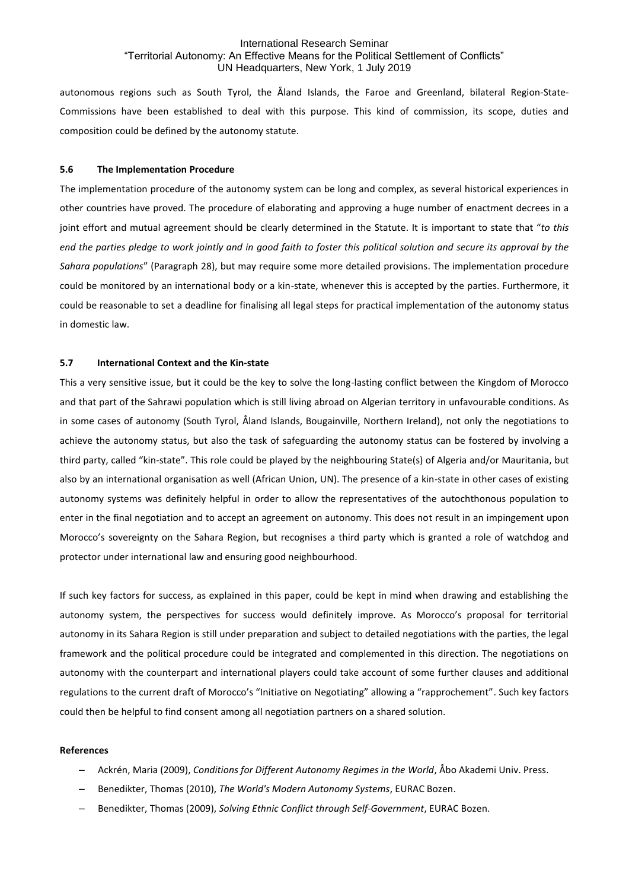autonomous regions such as South Tyrol, the Åland Islands, the Faroe and Greenland, bilateral Region-State-Commissions have been established to deal with this purpose. This kind of commission, its scope, duties and composition could be defined by the autonomy statute.

## **5.6 The Implementation Procedure**

The implementation procedure of the autonomy system can be long and complex, as several historical experiences in other countries have proved. The procedure of elaborating and approving a huge number of enactment decrees in a joint effort and mutual agreement should be clearly determined in the Statute. It is important to state that "*to this end the parties pledge to work jointly and in good faith to foster this political solution and secure its approval by the Sahara populations*" (Paragraph 28), but may require some more detailed provisions. The implementation procedure could be monitored by an international body or a kin-state, whenever this is accepted by the parties. Furthermore, it could be reasonable to set a deadline for finalising all legal steps for practical implementation of the autonomy status in domestic law.

## **5.7 International Context and the Kin-state**

This a very sensitive issue, but it could be the key to solve the long-lasting conflict between the Kingdom of Morocco and that part of the Sahrawi population which is still living abroad on Algerian territory in unfavourable conditions. As in some cases of autonomy (South Tyrol, Åland Islands, Bougainville, Northern Ireland), not only the negotiations to achieve the autonomy status, but also the task of safeguarding the autonomy status can be fostered by involving a third party, called "kin-state". This role could be played by the neighbouring State(s) of Algeria and/or Mauritania, but also by an international organisation as well (African Union, UN). The presence of a kin-state in other cases of existing autonomy systems was definitely helpful in order to allow the representatives of the autochthonous population to enter in the final negotiation and to accept an agreement on autonomy. This does not result in an impingement upon Morocco's sovereignty on the Sahara Region, but recognises a third party which is granted a role of watchdog and protector under international law and ensuring good neighbourhood.

If such key factors for success, as explained in this paper, could be kept in mind when drawing and establishing the autonomy system, the perspectives for success would definitely improve. As Morocco's proposal for territorial autonomy in its Sahara Region is still under preparation and subject to detailed negotiations with the parties, the legal framework and the political procedure could be integrated and complemented in this direction. The negotiations on autonomy with the counterpart and international players could take account of some further clauses and additional regulations to the current draft of Morocco's "Initiative on Negotiating" allowing a "rapprochement". Such key factors could then be helpful to find consent among all negotiation partners on a shared solution.

#### **References**

- ‒ Ackrén, Maria (2009), *Conditions for Different Autonomy Regimes in the World*, Åbo Akademi Univ. Press.
- ‒ Benedikter, Thomas (2010), *The World's Modern Autonomy Systems*, EURAC Bozen.
- ‒ Benedikter, Thomas (2009), *Solving Ethnic Conflict through Self-Government*, EURAC Bozen.